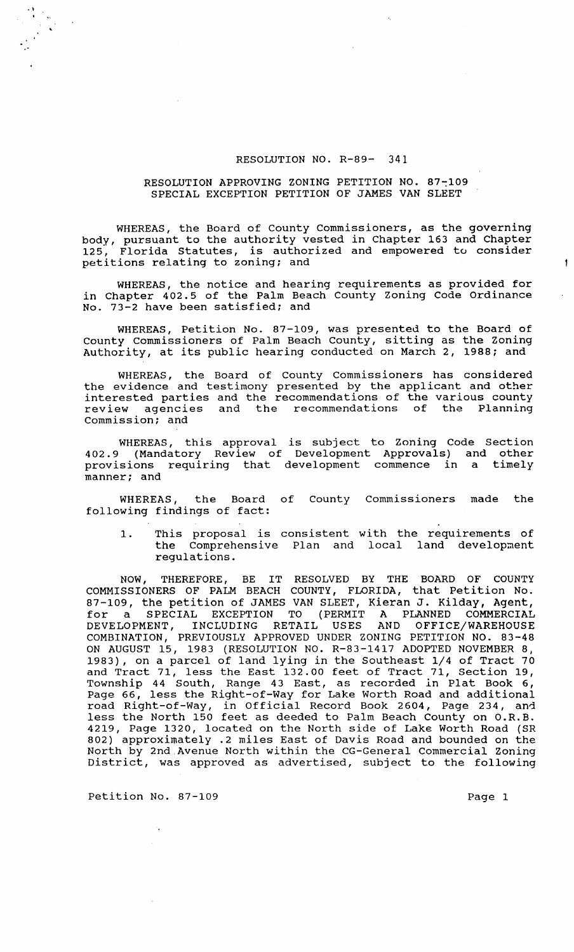## RESOLUTION NO. R-89- 341

## RESOLUTION APPROVING ZONING PETITION NO. 87~109 SPECIAL EXCEPTION PETITION OF JAMES VAN SLEET

WHEREAS, the Board of County Commissioners, as the governing body, pursuant to the authority vested in Chapter 163 and Chapter<br>125, Florida Statutes, is authorized and empowered to consider Florida Statutes, is authorized and empowered to consider petitions relating to zoning; and

WHEREAS, the notice and hearing requirements as provided for in Chapter 402.5 of the Palm Beach County Zoning Code Ordinance No. 73-2 have been satisfied; and

WHEREAS, Petition No. 87-109, was presented to the Board of County commissioners of Palm Beach County, sitting as the zoning Authority, at its public hearing conducted on March 2, 1988; and

WHEREAS, the Board of County Commissioners has considered the evidence and testimony presented by the applicant and other interested parties and the recommendations of the various county review agencies and the recommendations of the Planning Commission; and

WHEREAS, this approval is subject to Zoning Code Section 402.9 (Mandatory Review of Development Approvals) and other provisions requiring that development commence in a timely manner; and

WHEREAS, the Board of County Commissioners made the following findings of fact:

1. This proposal is consistent with the requirements of the Comprehensive Plan and local land development regulations.

NOW, THEREFORE, BE IT RESOLVED BY THE BOARD OF COUNTY COMMISSIONERS OF PALM BEACH COUNTY, FLORIDA, that Petition No. 87-109, the petition of JAMES VAN SLEET, Kieran J. Kilday, Agent, for a SPECIAL EXCEPTION TO (PERMIT A PLANNED COMMERCIAL DEVELOPMENT, INCLUDING RETAIL USES AND OFFICE/WAREHOUSE DEVELOPMENT, INCLUDING RETAIL USES AND OFFICE/WAREHOUSE<br>COMBINATION, PREVIOUSLY APPROVED UNDER ZONING PETITION NO. 83-48 ON AUGUST 15, 1983 (RESOLUTION NO. R-83-1417 ADOPTED NOVEMBER 8, 1983), on a parcel of land lying in the Southeast 1/4 of Tract 70 and Tract 71, less the East 132.00 feet of Tract 71, section 19, The contract of the state of the contract of the control of the Township 44 South, Range 43 East, as recorded in Plat Book 6, Page 66, less the Right-of-Way for Lake Worth Road and additional rage so, 1000 one highe of map isi Bane meren house and dadicional less the North 150 feet as deeded to Palm Beach County on O.R.B. 4219, Page 1320, located on the North side of Lake Worth Road (SR 802) approximately .2 miles East of Davis Road and bounded on the North by 2nd ,Avenue North within the CG-General Commercial Zoning norum by Ena premis norum wrenth the se sensitif sommercial behing

Petition No. 87-109 Page 1

 $\label{eq:2} \begin{array}{l} \displaystyle \frac{\partial V_{\alpha}}{\partial \beta} = \frac{1}{\sqrt{2}} \frac{1}{\sqrt{2}} \frac{1}{\sqrt{2}} \frac{1}{\sqrt{2}} \frac{1}{\sqrt{2}} \frac{1}{\sqrt{2}} \frac{1}{\sqrt{2}} \frac{1}{\sqrt{2}} \frac{1}{\sqrt{2}} \frac{1}{\sqrt{2}} \frac{1}{\sqrt{2}} \frac{1}{\sqrt{2}} \frac{1}{\sqrt{2}} \frac{1}{\sqrt{2}} \frac{1}{\sqrt{2}} \frac{1}{\sqrt{2}} \frac{1}{\sqrt{2}} \frac{1}{\sqrt{2}} \frac{1}{\sqrt{$ 

 $\ddagger$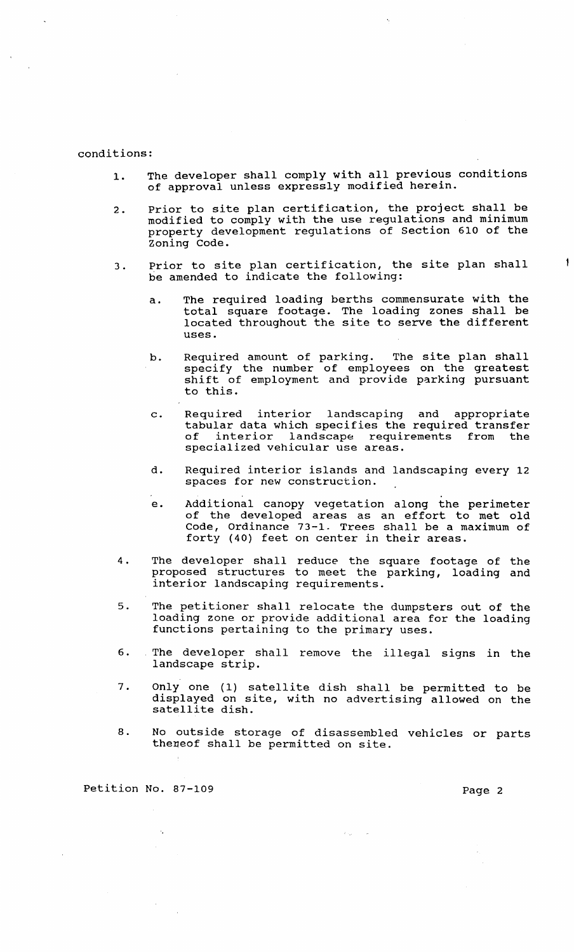## conditions:

- 1. The developer shall comply with all previous conditions of approval unless expressly modified herein.
- 2. Prior to site plan certification, the project shall be modified to comply with the use regulations and minimum property development regulations of section 610 of the Zoning Code.
- 3. Prior to site plan certification, the site plan shall be amended to indicate the following:
	- a. The required loading berths commensurate with the total square footage. The loading zones shall be located throughout the site to serve the different uses.
	- b. Required amount of parking. The site plan shall specify the number of employees on the greatest specify the number of employees on the greatest to this.
	- c. Required interior landscaping and appropriate tabular data which specifies the required transfer of interior landscape requirements from the specialized vehicular use areas.
	- d. Required interior islands and landscaping every 12 spaces for new construction.
	- e. Additional canopy vegetation along the perimeter of the developed areas as an effort to met old Code, Ordinance 73-1. Trees shall be a maximum of forty (40) feet on center in their areas.
- 4. The developer shall reduce the square footage of the proposed structures to meet the parking, loading and proposed serascares as mess and the
- 5. The petitioner shall relocate the dumpsters out of the loading zone or provide additional area for the loading functions pertaining to the primary uses.
- 6. The developer shall remove the illegal signs in the landscape strip.
- 7. Only one (1) satellite dish shall be permitted to be displayed on site, with no advertising allowed on the satellite dish.
- 8. No outside storage of disassembled vehicles or parts theneof shall be permitted on site.

 $\omega_{\rm{min}} = 1/2$ 

Petition No. 87-109 Page 2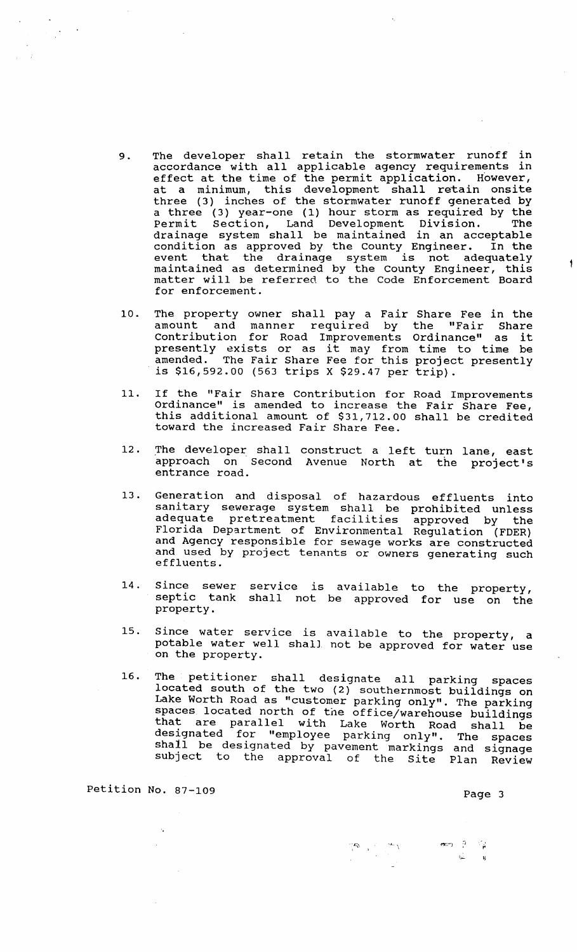- 9. The developer shall retain the stormwater runoff in accordance with all applicable agency requirements in docordance with dir approached agency requirements in at a minimum, this development shall retain onsite three (3) inches of the stormwater runoff generated by a three (3) year-one (1) hour storm as required by the Permit Section, Land Development Division. The drainage system shall be maintained in an acceptable condition as approved by the County Engineer. In the event that the drainage system is not adequately maintained as determined by the County Engineer, this matter will be referred to the Code Enforcement Board for enforcement.
- 10. The property owner shall pay a Fair Share Fee in the amount and manner required by the "Fair Share contribution for Road Improvements Ordinance" as it presently exists or as it may from time to time be amended. The Fair Share Fee for this project presently is  $$16,592.00$  (563 trips X  $$29.47$  per trip).
- 11. If the "Fair Share Contribution for Road Improvements Ordinance" is amended to increase the Fair Share Fee, this additional amount of \$31,712.00 shall be credited toward the increased Fair Share Fee .
- 12. The developer shall construct a left turn lane, east approach on Second Avenue North at the project's entrance road.
- 13. Generation and disposal of hazardous effluents into sanitary sewerage system shall be prohibited unless adequate pretreatment facilities approved by the Florida Department of Environmental Regulation (FDER) and Agency responsible for sewage works are constructed and used by project tenants or owners generating such effluents.
- 14. Since sewer service is available to the property, septic tank shall not be approved for use on the property.
- 15. Since water service is available to the property, a potable water well shall not be approved for water use on the property.
- 16. The petitioner shall designate all parking spaces located south of the two (2) southernmost buildings on Lake Worth Road as "customer parking only". The parking spaces located north of the office/warehouse buildings that are parallel with Lake Worth Road shall be designated for "employee parking only". The spaces shall be designated by pavement markings and signage subject to the approval of the Site Plan Review

Petition No. 87-109 Page 3

 $\frac{1}{\sqrt{2}}$  $\bullet$   $\rightarrow$   $\uparrow$   $\downarrow$ I.:.;...... ;J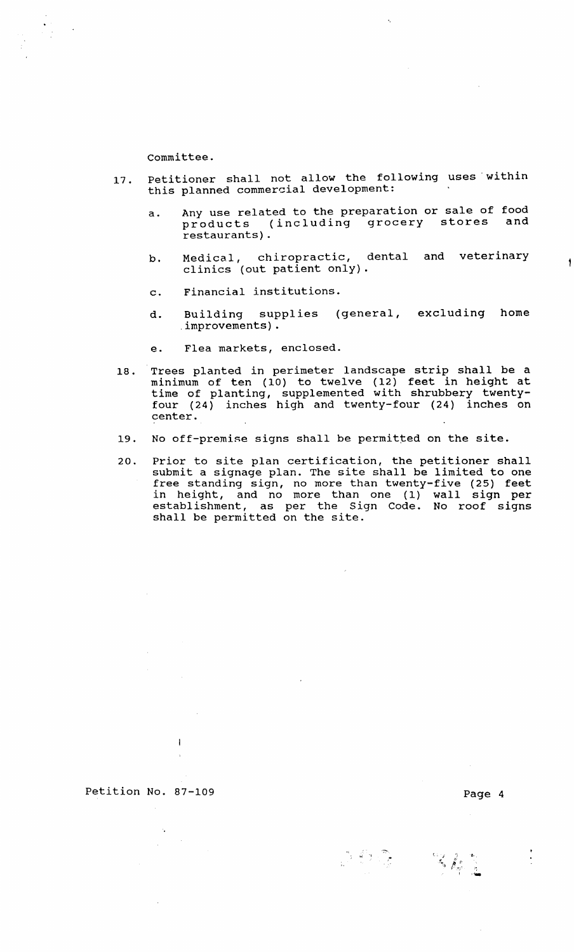committee.

- 17. Petitioner shall not allow the following uses within this planned commercial development:
	- a. Any use related to the preparation or sale of food<br>products (including grocery stores and products (including grocery stores restaurants) .
	- b. Medical, chiropractic, dental and veterinary clinics (out patient only) .
	- c. Financial institutions.
	- d. Building sup<br>improvements). (general, excluding home
	- e. Flea markets, enclosed.
- 18. Trees planted in perimeter landscape strip shall be a minimum of ten (10) to twelve (12) feet in height at time of planting, supplemented with shrubbery twentyfour (24) inches high and twenty-four (24) inches on center.
- 19. No off-premise signs shall be permitted on the site.
- 20. Prior to site plan certification, the petitioner shall submit a signage plan. The site shall be limited to one free standing sign, no more than twenty-five (25) feet in height, and no more than one (1) wall sign per establishment, as per the Sign Code. No roof signs escubrishment, as per the bight

 $\mathbf{1}$ 

 $\sim$ 

 $\ddot{\bullet}$ 

162 - 311